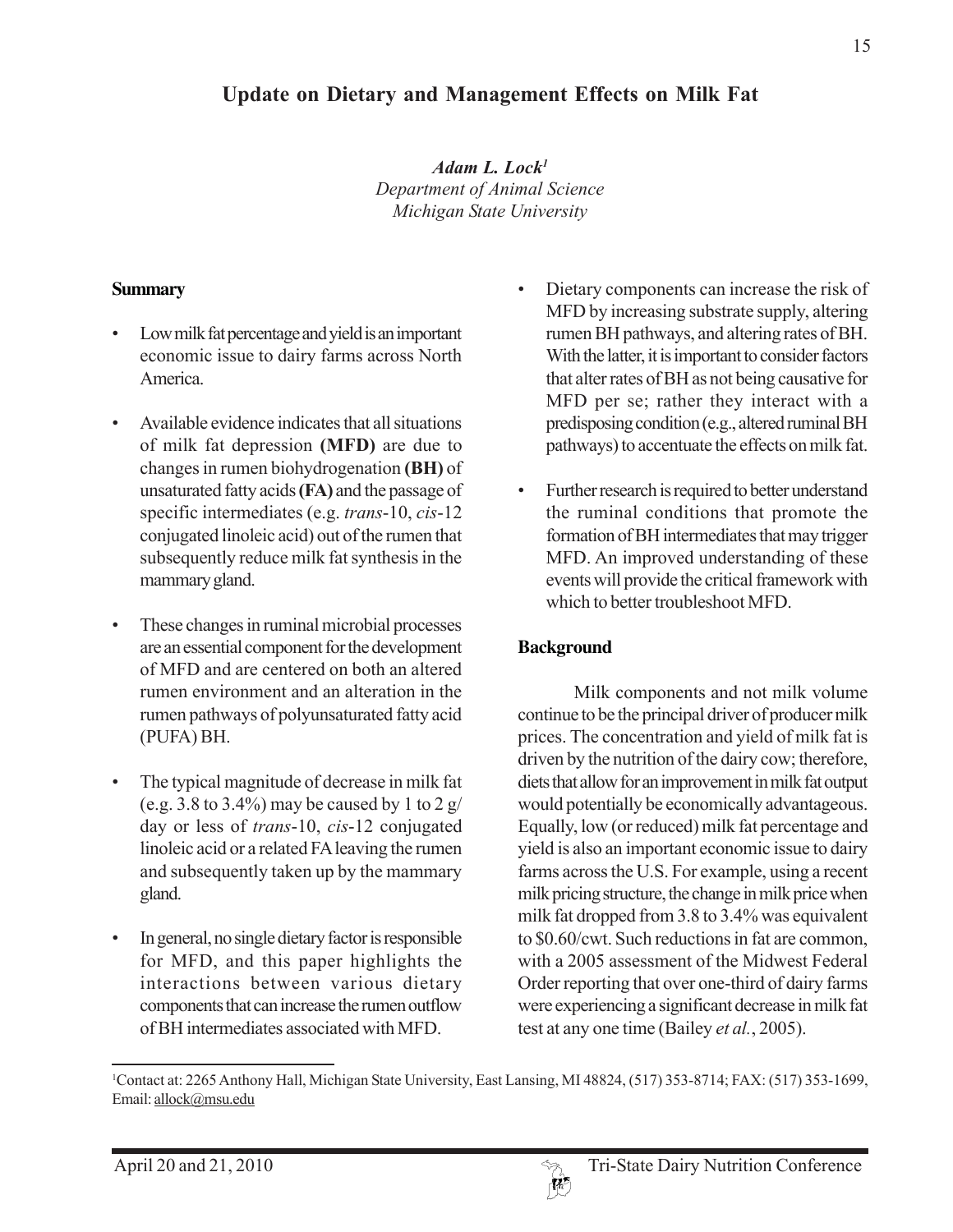# **Update on Dietary and Management Effects on Milk Fat**

*Adam L. Lock1 Department of Animal Science Michigan State University*

#### **Summary**

- Low milk fat percentage and yield is an important economic issue to dairy farms across North America.
- Available evidence indicates that all situations of milk fat depression **(MFD)** are due to changes in rumen biohydrogenation **(BH)** of unsaturated fatty acids **(FA)** and the passage of specific intermediates (e.g. *trans*-10, *cis*-12 conjugated linoleic acid) out of the rumen that subsequently reduce milk fat synthesis in the mammary gland.
- These changes in ruminal microbial processes are an essential component for the development of MFD and are centered on both an altered rumen environment and an alteration in the rumen pathways of polyunsaturated fatty acid (PUFA) BH.
- The typical magnitude of decrease in milk fat (e.g. 3.8 to 3.4%) may be caused by 1 to 2  $g/$ day or less of *trans*-10, *cis*-12 conjugated linoleic acid or a related FA leaving the rumen and subsequently taken up by the mammary gland.
- In general, no single dietary factor is responsible for MFD, and this paper highlights the interactions between various dietary components that can increase the rumen outflow of BH intermediates associated with MFD.
- Dietary components can increase the risk of MFD by increasing substrate supply, altering rumen BH pathways, and altering rates of BH. With the latter, it is important to consider factors that alter rates of BH as not being causative for MFD per se; rather they interact with a predisposing condition (e.g., altered ruminal BH pathways) to accentuate the effects on milk fat.
- Further research is required to better understand the ruminal conditions that promote the formation of BH intermediates that may trigger MFD. An improved understanding of these events will provide the critical framework with which to better troubleshoot MFD.

## **Background**

Milk components and not milk volume continue to be the principal driver of producer milk prices. The concentration and yield of milk fat is driven by the nutrition of the dairy cow; therefore, diets that allow for an improvement in milk fat output would potentially be economically advantageous. Equally, low (or reduced) milk fat percentage and yield is also an important economic issue to dairy farms across the U.S. For example, using a recent milk pricing structure, the change in milk price when milk fat dropped from 3.8 to 3.4% was equivalent to \$0.60/cwt. Such reductions in fat are common, with a 2005 assessment of the Midwest Federal Order reporting that over one-third of dairy farms were experiencing a significant decrease in milk fat test at any one time (Bailey *et al.*, 2005).



<sup>1</sup> Contact at: 2265 Anthony Hall, Michigan State University, East Lansing, MI 48824, (517) 353-8714; FAX: (517) 353-1699, Email: allock@msu.edu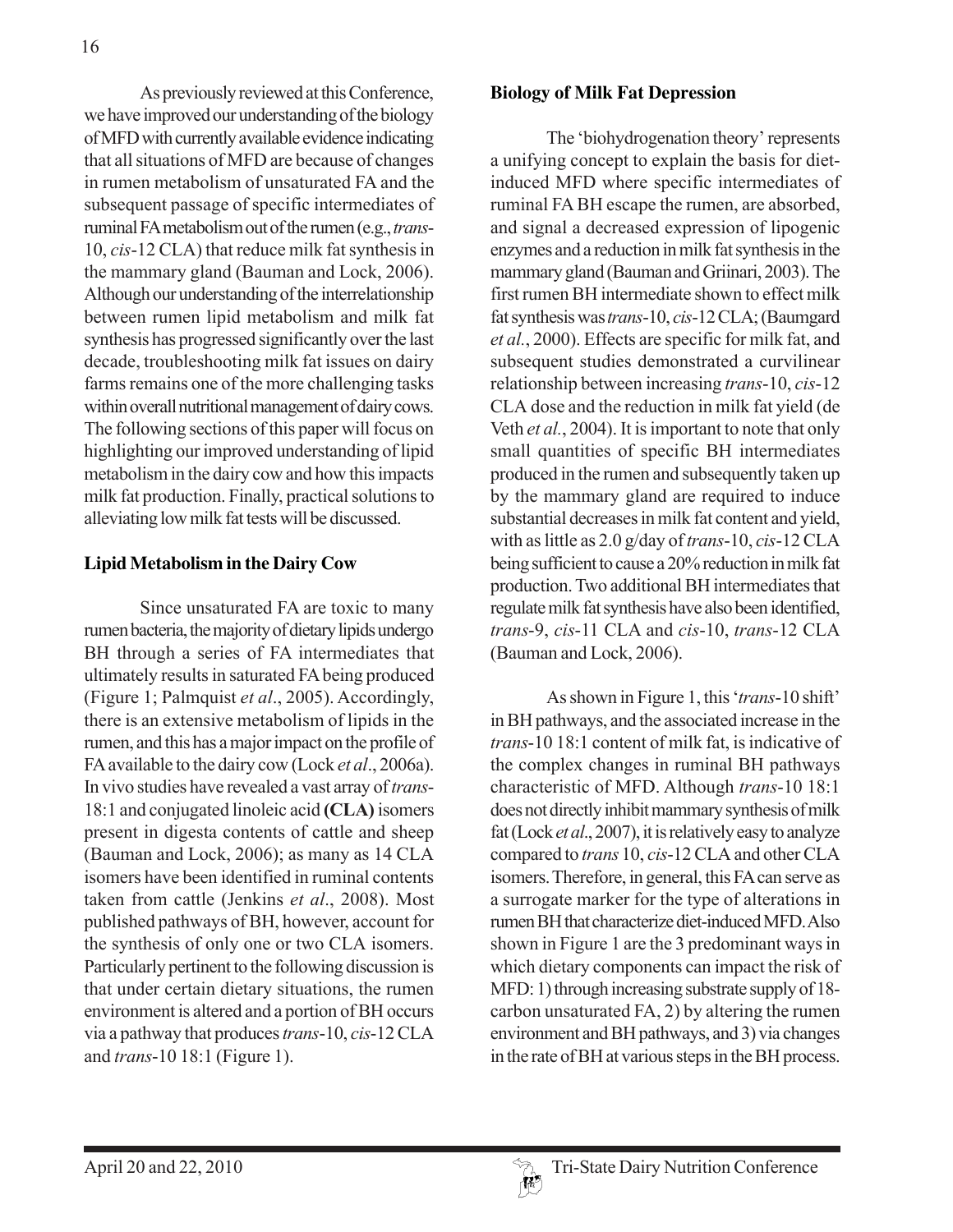As previously reviewed at this Conference, we have improved our understanding of the biology of MFDwith currently available evidence indicating that all situations of MFD are because of changes in rumen metabolism of unsaturated FA and the subsequent passage of specific intermediates of ruminal FA metabolism out of the rumen (e.g., *trans*-10, *cis*-12 CLA) that reduce milk fat synthesis in the mammary gland (Bauman and Lock, 2006). Although our understanding of the interrelationship between rumen lipid metabolism and milk fat synthesis has progressed significantly over the last decade, troubleshooting milk fat issues on dairy farms remains one of the more challenging tasks within overall nutritional management of dairy cows. The following sections of this paper will focus on highlighting our improved understanding of lipid metabolism in the dairy cow and how this impacts milk fat production. Finally, practical solutions to alleviating low milk fat tests will be discussed.

#### **Lipid Metabolism in the Dairy Cow**

Since unsaturated FA are toxic to many rumen bacteria, the majority of dietary lipids undergo BH through a series of FA intermediates that ultimately results in saturated FA being produced (Figure 1; Palmquist *et al*., 2005). Accordingly, there is an extensive metabolism of lipids in the rumen, and this has a major impact on the profile of FA available to the dairy cow (Lock *et al*., 2006a). In vivo studies have revealed a vast array of *trans*-18:1 and conjugated linoleic acid **(CLA)** isomers present in digesta contents of cattle and sheep (Bauman and Lock, 2006); as many as 14 CLA isomers have been identified in ruminal contents taken from cattle (Jenkins *et al*., 2008). Most published pathways of BH, however, account for the synthesis of only one or two CLA isomers. Particularly pertinent to the following discussion is that under certain dietary situations, the rumen environment is altered and a portion of BH occurs via a pathway that produces *trans*-10, *cis*-12 CLA and *trans*-10 18:1 (Figure 1).

#### **Biology of Milk Fat Depression**

The 'biohydrogenation theory' represents a unifying concept to explain the basis for dietinduced MFD where specific intermediates of ruminal FA BH escape the rumen, are absorbed, and signal a decreased expression of lipogenic enzymes and a reduction in milk fat synthesis in the mammary gland (Bauman and Griinari, 2003). The first rumen BH intermediate shown to effect milk fat synthesis was *trans*-10, *cis*-12 CLA; (Baumgard *et al.*, 2000). Effects are specific for milk fat, and subsequent studies demonstrated a curvilinear relationship between increasing *trans*-10, *cis*-12 CLA dose and the reduction in milk fat yield (de Veth *et al.*, 2004). It is important to note that only small quantities of specific BH intermediates produced in the rumen and subsequently taken up by the mammary gland are required to induce substantial decreases in milk fat content and yield, with as little as 2.0 g/day of *trans*-10, *cis*-12 CLA being sufficient to cause a 20% reduction in milk fat production. Two additional BH intermediates that regulate milk fat synthesis have also been identified, *trans*-9, *cis*-11 CLA and *cis*-10, *trans*-12 CLA (Bauman and Lock, 2006).

As shown in Figure 1, this '*trans*-10 shift' in BH pathways, and the associated increase in the *trans*-10 18:1 content of milk fat, is indicative of the complex changes in ruminal BH pathways characteristic of MFD. Although *trans*-10 18:1 does not directly inhibit mammary synthesis of milk fat (Lock *et al*., 2007), it is relatively easy to analyze compared to *trans* 10, *cis*-12 CLA and other CLA isomers. Therefore, in general, this FA can serve as a surrogate marker for the type of alterations in rumen BH that characterize diet-induced MFD. Also shown in Figure 1 are the 3 predominant ways in which dietary components can impact the risk of MFD: 1) through increasing substrate supply of 18 carbon unsaturated FA, 2) by altering the rumen environment and BH pathways, and 3) via changes in the rate of BH at various steps in the BH process.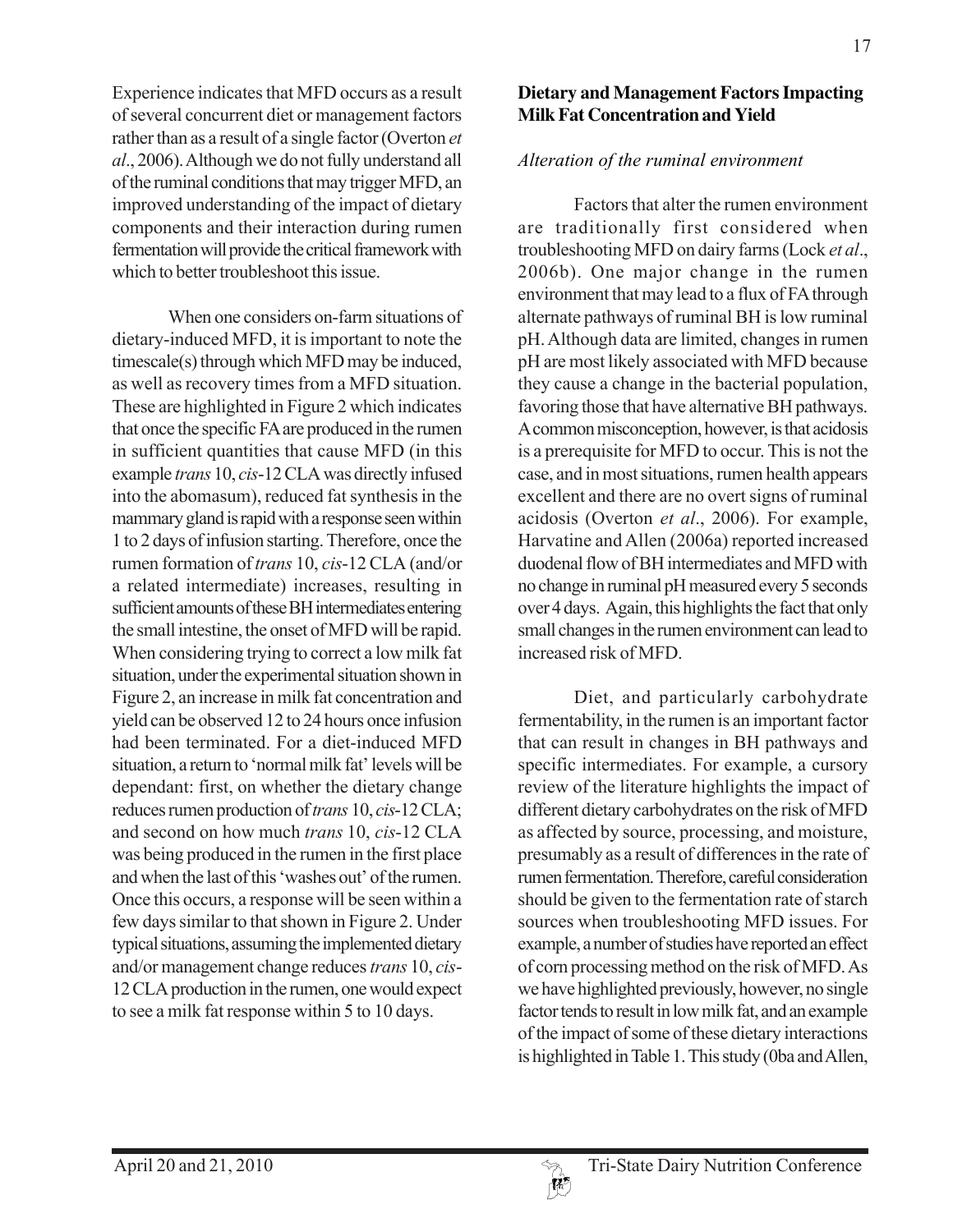Experience indicates that MFD occurs as a result of several concurrent diet or management factors rather than as a result of a single factor (Overton *et al*., 2006). Although we do not fully understand all of the ruminal conditions that may trigger MFD, an improved understanding of the impact of dietary components and their interaction during rumen fermentation will provide the critical framework with which to better troubleshoot this issue.

When one considers on-farm situations of dietary-induced MFD, it is important to note the timescale(s) through which MFD may be induced, as well as recovery times from a MFD situation. These are highlighted in Figure 2 which indicates that once the specific FA are produced in the rumen in sufficient quantities that cause MFD (in this example *trans* 10, *cis*-12 CLA was directly infused into the abomasum), reduced fat synthesis in the mammary gland is rapid with a response seen within 1 to 2 days of infusion starting. Therefore, once the rumen formation of *trans* 10, *cis*-12 CLA (and/or a related intermediate) increases, resulting in sufficient amounts of these BH intermediates entering the small intestine, the onset of MFD will be rapid. When considering trying to correct a low milk fat situation, under the experimental situation shown in Figure 2, an increase in milk fat concentration and yield can be observed 12 to 24 hours once infusion had been terminated. For a diet-induced MFD situation, a return to 'normal milk fat' levels will be dependant: first, on whether the dietary change reduces rumen production of *trans* 10, *cis*-12 CLA; and second on how much *trans* 10, *cis*-12 CLA was being produced in the rumen in the first place and when the last of this 'washes out' of the rumen. Once this occurs, a response will be seen within a few days similar to that shown in Figure 2. Under typical situations, assuming the implemented dietary and/or management change reduces *trans* 10, *cis*-12 CLA production in the rumen, one would expect to see a milk fat response within 5 to 10 days.

## **Dietary and Management Factors Impacting Milk Fat Concentration and Yield**

## *Alteration of the ruminal environment*

Factors that alter the rumen environment are traditionally first considered when troubleshooting MFD on dairy farms (Lock *et al*., 2006b). One major change in the rumen environment that may lead to a flux of FA through alternate pathways of ruminal BH is low ruminal pH. Although data are limited, changes in rumen pH are most likely associated with MFD because they cause a change in the bacterial population, favoring those that have alternative BH pathways. A common misconception, however, is that acidosis is a prerequisite for MFD to occur. This is not the case, and in most situations, rumen health appears excellent and there are no overt signs of ruminal acidosis (Overton *et al*., 2006). For example, Harvatine and Allen (2006a) reported increased duodenal flow of BH intermediates and MFD with no change in ruminal pH measured every 5 seconds over 4 days. Again, this highlights the fact that only small changes in the rumen environment can lead to increased risk of MFD.

Diet, and particularly carbohydrate fermentability, in the rumen is an important factor that can result in changes in BH pathways and specific intermediates. For example, a cursory review of the literature highlights the impact of different dietary carbohydrates on the risk of MFD as affected by source, processing, and moisture, presumably as a result of differences in the rate of rumen fermentation. Therefore, careful consideration should be given to the fermentation rate of starch sources when troubleshooting MFD issues. For example, a number of studies have reported an effect of corn processing method on the risk of MFD. As we have highlighted previously, however, no single factor tends to result in low milk fat, and an example of the impact of some of these dietary interactions is highlighted in Table 1. This study (0ba and Allen,

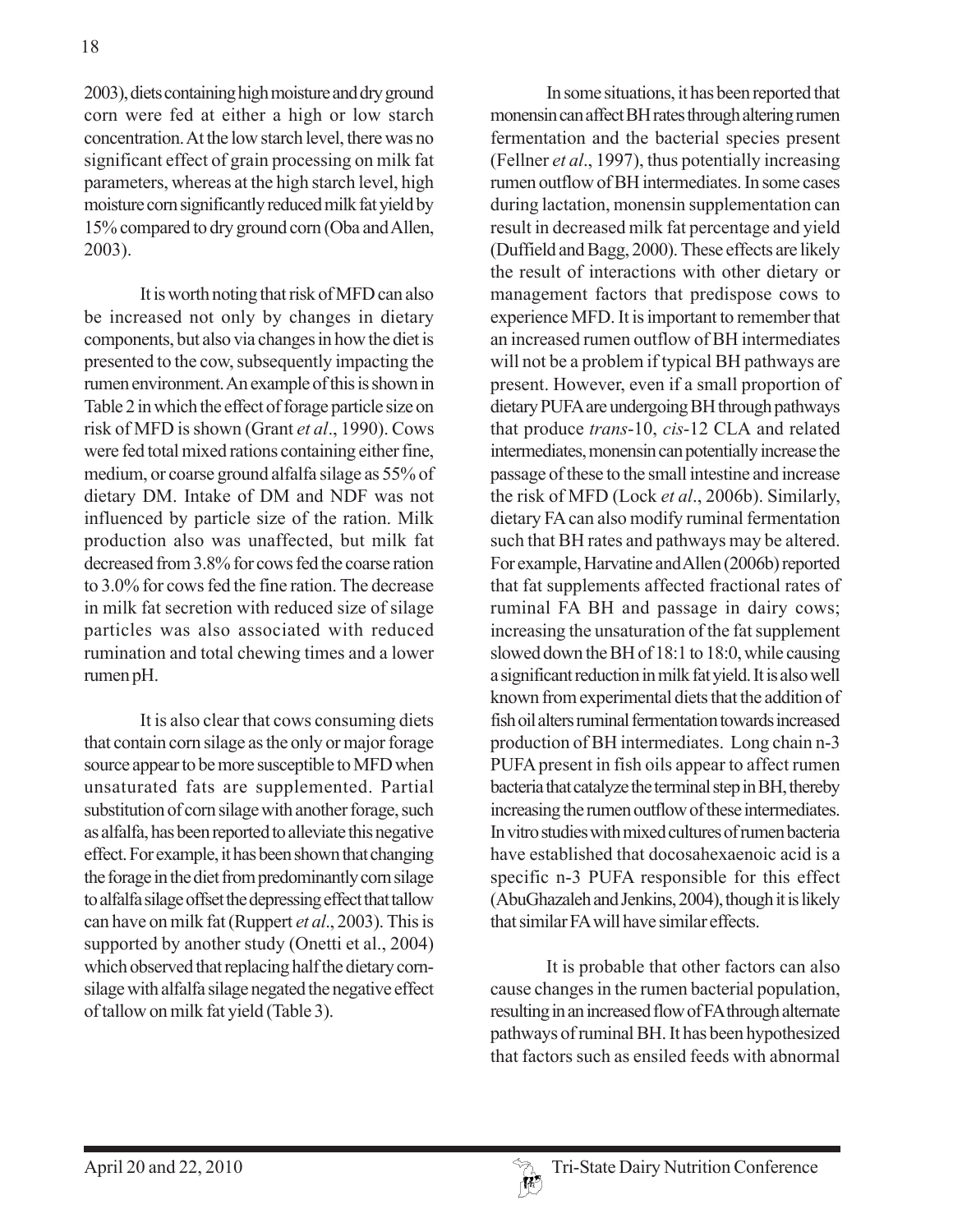2003), diets containing high moisture and dry ground corn were fed at either a high or low starch concentration. At the low starch level, there was no significant effect of grain processing on milk fat parameters, whereas at the high starch level, high moisture corn significantly reduced milk fat yield by 15% compared to dry ground corn (Oba and Allen, 2003).

It is worth noting that risk of MFD can also be increased not only by changes in dietary components, but also via changes in how the diet is presented to the cow, subsequently impacting the rumen environment. An example of this is shown in Table 2 in which the effect of forage particle size on risk of MFD is shown (Grant *et al*., 1990). Cows were fed total mixed rations containing either fine, medium, or coarse ground alfalfa silage as 55% of dietary DM. Intake of DM and NDF was not influenced by particle size of the ration. Milk production also was unaffected, but milk fat decreased from 3.8% for cows fed the coarse ration to 3.0% for cows fed the fine ration. The decrease in milk fat secretion with reduced size of silage particles was also associated with reduced rumination and total chewing times and a lower rumen pH.

It is also clear that cows consuming diets that contain corn silage as the only or major forage source appear to be more susceptible to MFD when unsaturated fats are supplemented. Partial substitution of corn silage with another forage, such as alfalfa, has been reported to alleviate this negative effect. For example, it has been shown that changing the forage in the diet from predominantly corn silage to alfalfa silage offset the depressing effect that tallow can have on milk fat (Ruppert *et al*., 2003). This is supported by another study (Onetti et al., 2004) which observed that replacing half the dietary cornsilage with alfalfa silage negated the negative effect of tallow on milk fat yield (Table 3).

In some situations, it has been reported that monensin can affect BH rates through altering rumen fermentation and the bacterial species present (Fellner *et al*., 1997), thus potentially increasing rumen outflow of BH intermediates. In some cases during lactation, monensin supplementation can result in decreased milk fat percentage and yield (Duffield and Bagg, 2000). These effects are likely the result of interactions with other dietary or management factors that predispose cows to experience MFD. It is important to remember that an increased rumen outflow of BH intermediates will not be a problem if typical BH pathways are present. However, even if a small proportion of dietary PUFA are undergoing BH through pathways that produce *trans*-10, *cis*-12 CLA and related intermediates, monensin can potentially increase the passage of these to the small intestine and increase the risk of MFD (Lock *et al*., 2006b). Similarly, dietary FA can also modify ruminal fermentation such that BH rates and pathways may be altered. For example, Harvatine and Allen (2006b) reported that fat supplements affected fractional rates of ruminal FA BH and passage in dairy cows; increasing the unsaturation of the fat supplement slowed down the BH of 18:1 to 18:0, while causing a significant reduction in milk fat yield. It is also well known from experimental diets that the addition of fish oil alters ruminal fermentation towards increased production of BH intermediates. Long chain n-3 PUFA present in fish oils appear to affect rumen bacteria that catalyze the terminal step in BH, thereby increasing the rumen outflow of these intermediates. In vitro studies with mixed cultures of rumen bacteria have established that docosahexaenoic acid is a specific n-3 PUFA responsible for this effect (AbuGhazaleh and Jenkins, 2004), though it is likely that similar FA will have similar effects.

It is probable that other factors can also cause changes in the rumen bacterial population, resulting in an increased flow of FA through alternate pathways of ruminal BH. It has been hypothesized that factors such as ensiled feeds with abnormal

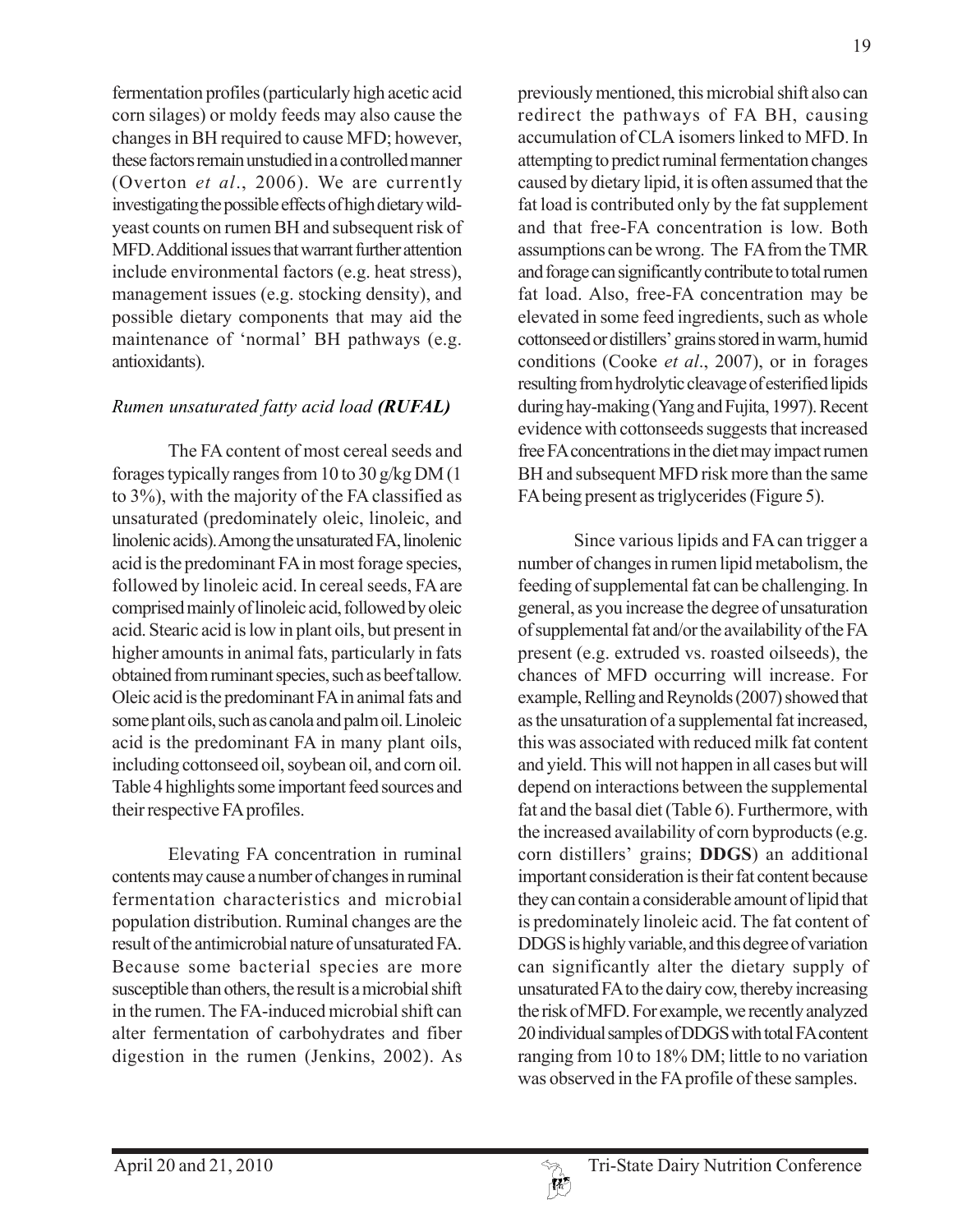fermentation profiles (particularly high acetic acid corn silages) or moldy feeds may also cause the changes in BH required to cause MFD; however, these factors remain unstudied in a controlled manner (Overton *et al*., 2006). We are currently investigating the possible effects of high dietary wildyeast counts on rumen BH and subsequent risk of MFD. Additional issues that warrant further attention include environmental factors (e.g. heat stress), management issues (e.g. stocking density), and possible dietary components that may aid the maintenance of 'normal' BH pathways (e.g. antioxidants).

## *Rumen unsaturated fatty acid load (RUFAL)*

The FA content of most cereal seeds and forages typically ranges from 10 to 30 g/kg DM (1 to 3%), with the majority of the FA classified as unsaturated (predominately oleic, linoleic, and linolenic acids). Among the unsaturated FA, linolenic acid is the predominant FA in most forage species, followed by linoleic acid. In cereal seeds, FA are comprised mainly of linoleic acid, followed by oleic acid. Stearic acid is low in plant oils, but present in higher amounts in animal fats, particularly in fats obtained from ruminant species, such as beef tallow. Oleic acid is the predominant FA in animal fats and some plant oils, such as canola and palm oil. Linoleic acid is the predominant FA in many plant oils, including cottonseed oil, soybean oil, and corn oil. Table 4 highlights some important feed sources and their respective FA profiles.

Elevating FA concentration in ruminal contents may cause a number of changes in ruminal fermentation characteristics and microbial population distribution. Ruminal changes are the result of the antimicrobial nature of unsaturated FA. Because some bacterial species are more susceptible than others, the result is a microbial shift in the rumen. The FA-induced microbial shift can alter fermentation of carbohydrates and fiber digestion in the rumen (Jenkins, 2002). As

previously mentioned, this microbial shift also can redirect the pathways of FA BH, causing accumulation of CLA isomers linked to MFD. In attempting to predict ruminal fermentation changes caused by dietary lipid, it is often assumed that the fat load is contributed only by the fat supplement and that free-FA concentration is low. Both assumptions can be wrong. The FA from the TMR and forage can significantly contribute to total rumen fat load. Also, free-FA concentration may be elevated in some feed ingredients, such as whole cottonseed or distillers' grains stored in warm, humid conditions (Cooke *et al*., 2007), or in forages resulting from hydrolytic cleavage of esterified lipids during hay-making (Yang and Fujita, 1997). Recent evidence with cottonseeds suggests that increased free FA concentrations in the diet may impact rumen BH and subsequent MFD risk more than the same FA being present as triglycerides (Figure 5).

Since various lipids and FA can trigger a number of changes in rumen lipid metabolism, the feeding of supplemental fat can be challenging. In general, as you increase the degree of unsaturation of supplemental fat and/or the availability of the FA present (e.g. extruded vs. roasted oilseeds), the chances of MFD occurring will increase. For example, Relling and Reynolds (2007) showed that as the unsaturation of a supplemental fat increased, this was associated with reduced milk fat content and yield. This will not happen in all cases but will depend on interactions between the supplemental fat and the basal diet (Table 6). Furthermore, with the increased availability of corn byproducts (e.g. corn distillers' grains; **DDGS**) an additional important consideration is their fat content because they can contain a considerable amount of lipid that is predominately linoleic acid. The fat content of DDGS is highly variable, and this degree of variation can significantly alter the dietary supply of unsaturated FA to the dairy cow, thereby increasing the risk of MFD. For example, we recently analyzed 20 individual samples of DDGS with total FA content ranging from 10 to 18% DM; little to no variation was observed in the FA profile of these samples.

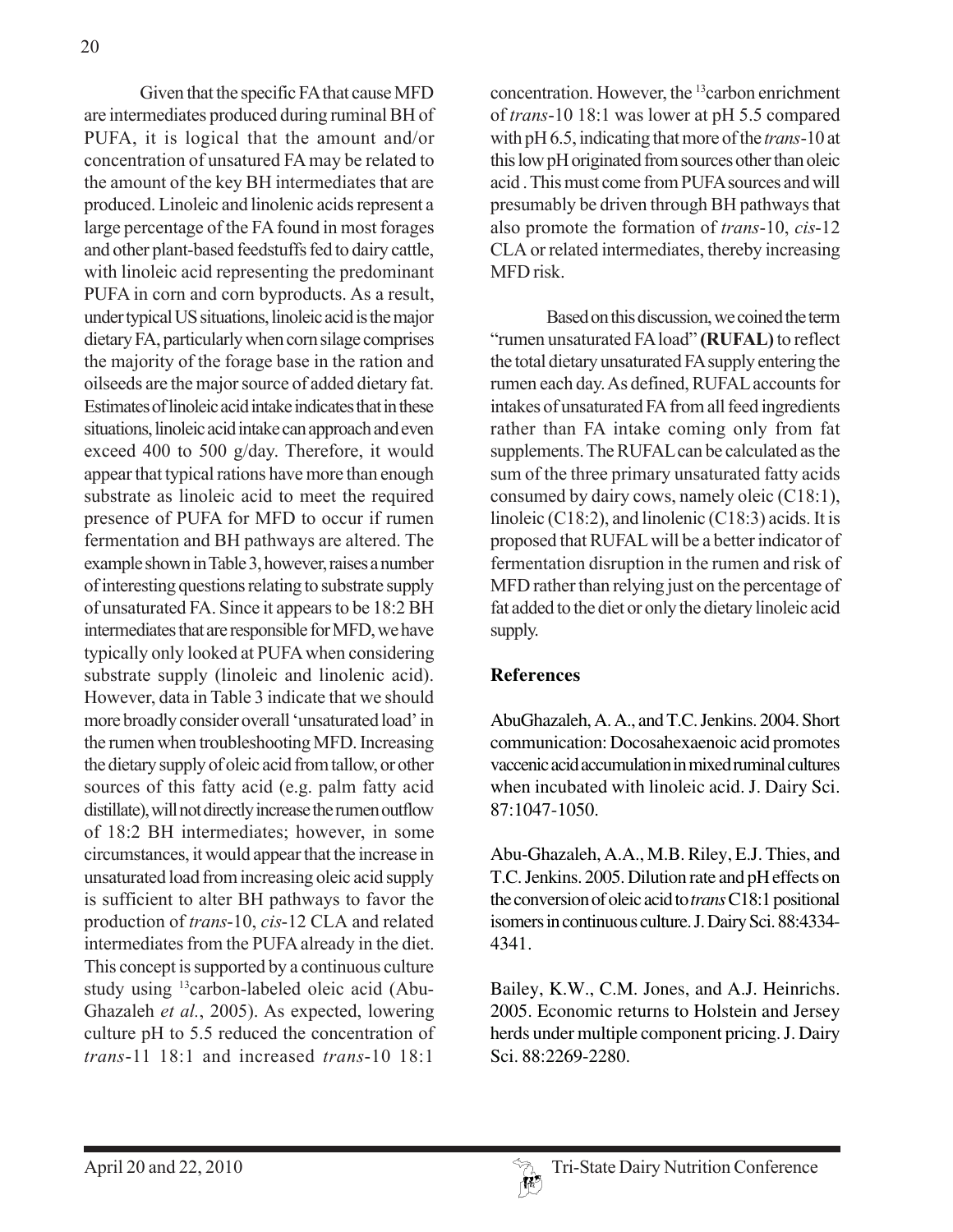Given that the specific FA that cause MFD are intermediates produced during ruminal BH of PUFA, it is logical that the amount and/or concentration of unsatured FA may be related to the amount of the key BH intermediates that are produced. Linoleic and linolenic acids represent a large percentage of the FA found in most forages and other plant-based feedstuffs fed to dairy cattle, with linoleic acid representing the predominant PUFA in corn and corn byproducts. As a result, under typical US situations, linoleic acid is the major dietary FA, particularly when corn silage comprises the majority of the forage base in the ration and oilseeds are the major source of added dietary fat. Estimates of linoleic acid intake indicates that in these situations, linoleic acid intake can approach and even exceed 400 to 500 g/day. Therefore, it would appear that typical rations have more than enough substrate as linoleic acid to meet the required presence of PUFA for MFD to occur if rumen fermentation and BH pathways are altered. The example shown in Table 3, however, raises a number of interesting questions relating to substrate supply of unsaturated FA. Since it appears to be 18:2 BH intermediates that are responsible for MFD, we have typically only looked at PUFA when considering substrate supply (linoleic and linolenic acid). However, data in Table 3 indicate that we should more broadly consider overall 'unsaturated load' in the rumen when troubleshooting MFD. Increasing the dietary supply of oleic acid from tallow, or other sources of this fatty acid (e.g. palm fatty acid distillate), will not directly increase the rumen outflow of 18:2 BH intermediates; however, in some circumstances, it would appear that the increase in unsaturated load from increasing oleic acid supply is sufficient to alter BH pathways to favor the production of *trans*-10, *cis*-12 CLA and related intermediates from the PUFA already in the diet. This concept is supported by a continuous culture study using 13carbon-labeled oleic acid (Abu-Ghazaleh *et al.*, 2005). As expected, lowering culture pH to 5.5 reduced the concentration of *trans*-11 18:1 and increased *trans*-10 18:1

concentration. However, the 13carbon enrichment of *trans*-10 18:1 was lower at pH 5.5 compared with pH 6.5, indicating that more of the *trans*-10 at this low pH originated from sources other than oleic acid . This must come from PUFA sources and will presumably be driven through BH pathways that also promote the formation of *trans*-10, *cis*-12 CLA or related intermediates, thereby increasing MFD risk.

Based on this discussion, we coined the term "rumen unsaturated FA load" **(RUFAL)** to reflect the total dietary unsaturated FA supply entering the rumen each day. As defined, RUFAL accounts for intakes of unsaturated FA from all feed ingredients rather than FA intake coming only from fat supplements. The RUFAL can be calculated as the sum of the three primary unsaturated fatty acids consumed by dairy cows, namely oleic (C18:1), linoleic (C18:2), and linolenic (C18:3) acids. It is proposed that RUFAL will be a better indicator of fermentation disruption in the rumen and risk of MFD rather than relying just on the percentage of fat added to the diet or only the dietary linoleic acid supply.

## **References**

AbuGhazaleh, A. A., and T.C. Jenkins. 2004. Short communication: Docosahexaenoic acid promotes vaccenic acid accumulation in mixed ruminal cultures when incubated with linoleic acid. J. Dairy Sci. 87:1047-1050.

Abu-Ghazaleh, A.A., M.B. Riley, E.J. Thies, and T.C. Jenkins. 2005. Dilution rate and pH effects on the conversion of oleic acid to *trans* C18:1 positional isomers in continuous culture. J. Dairy Sci. 88:4334- 4341.

Bailey, K.W., C.M. Jones, and A.J. Heinrichs. 2005. Economic returns to Holstein and Jersey herds under multiple component pricing. J. Dairy Sci. 88:2269-2280.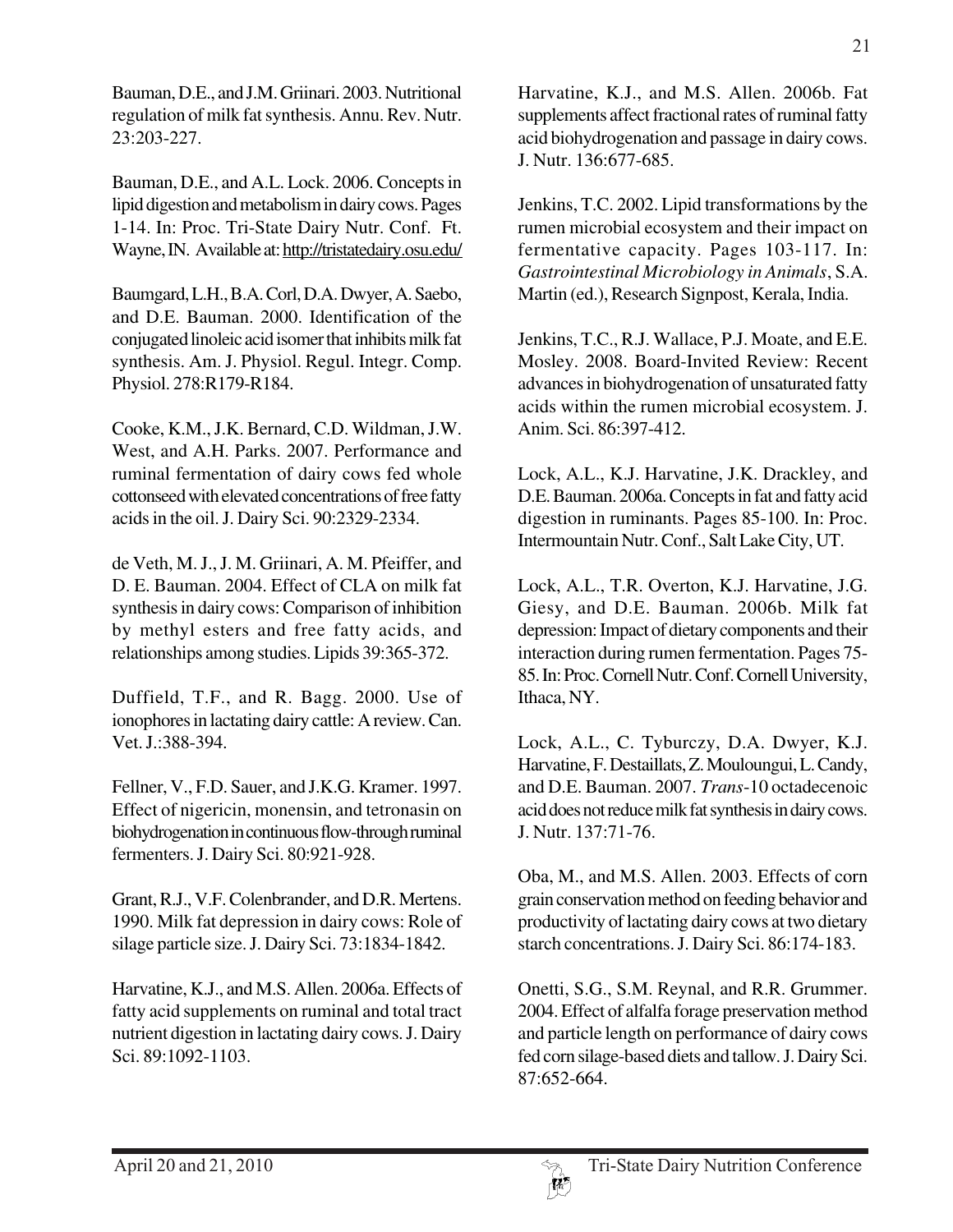Bauman, D.E., and J.M. Griinari. 2003. Nutritional regulation of milk fat synthesis. Annu. Rev. Nutr. 23:203-227.

Bauman, D.E., and A.L. Lock. 2006. Concepts in lipid digestion and metabolism in dairy cows. Pages 1-14. In: Proc. Tri-State Dairy Nutr. Conf. Ft. Wayne, IN. Available at: http://tristatedairy.osu.edu/

Baumgard, L.H., B.A. Corl, D.A. Dwyer, A. Saebo, and D.E. Bauman. 2000. Identification of the conjugated linoleic acid isomer that inhibits milk fat synthesis. Am. J. Physiol. Regul. Integr. Comp. Physiol. 278:R179-R184.

Cooke, K.M., J.K. Bernard, C.D. Wildman, J.W. West, and A.H. Parks. 2007. Performance and ruminal fermentation of dairy cows fed whole cottonseed with elevated concentrations of free fatty acids in the oil. J. Dairy Sci. 90:2329-2334.

de Veth, M. J., J. M. Griinari, A. M. Pfeiffer, and D. E. Bauman. 2004. Effect of CLA on milk fat synthesis in dairy cows: Comparison of inhibition by methyl esters and free fatty acids, and relationships among studies. Lipids 39:365-372.

Duffield, T.F., and R. Bagg. 2000. Use of ionophores in lactating dairy cattle: A review. Can. Vet. J.:388-394.

Fellner, V., F.D. Sauer, and J.K.G. Kramer. 1997. Effect of nigericin, monensin, and tetronasin on biohydrogenation in continuous flow-through ruminal fermenters. J. Dairy Sci. 80:921-928.

Grant, R.J., V.F. Colenbrander, and D.R. Mertens. 1990. Milk fat depression in dairy cows: Role of silage particle size. J. Dairy Sci. 73:1834-1842.

Harvatine, K.J., and M.S. Allen. 2006a. Effects of fatty acid supplements on ruminal and total tract nutrient digestion in lactating dairy cows. J. Dairy Sci. 89:1092-1103.

Harvatine, K.J., and M.S. Allen. 2006b. Fat supplements affect fractional rates of ruminal fatty acid biohydrogenation and passage in dairy cows. J. Nutr. 136:677-685.

Jenkins, T.C. 2002. Lipid transformations by the rumen microbial ecosystem and their impact on fermentative capacity. Pages 103-117. In: *Gastrointestinal Microbiology in Animals*, S.A. Martin (ed.), Research Signpost, Kerala, India.

Jenkins, T.C., R.J. Wallace, P.J. Moate, and E.E. Mosley. 2008. Board-Invited Review: Recent advances in biohydrogenation of unsaturated fatty acids within the rumen microbial ecosystem. J. Anim. Sci. 86:397-412.

Lock, A.L., K.J. Harvatine, J.K. Drackley, and D.E. Bauman. 2006a. Concepts in fat and fatty acid digestion in ruminants. Pages 85-100. In: Proc. Intermountain Nutr. Conf., Salt Lake City, UT.

Lock, A.L., T.R. Overton, K.J. Harvatine, J.G. Giesy, and D.E. Bauman. 2006b. Milk fat depression: Impact of dietary components and their interaction during rumen fermentation. Pages 75- 85. In: Proc. Cornell Nutr. Conf. Cornell University, Ithaca, NY.

Lock, A.L., C. Tyburczy, D.A. Dwyer, K.J. Harvatine, F. Destaillats, Z. Mouloungui, L. Candy, and D.E. Bauman. 2007. *Trans*-10 octadecenoic acid does not reduce milk fat synthesis in dairy cows. J. Nutr. 137:71-76.

Oba, M., and M.S. Allen. 2003. Effects of corn grain conservation method on feeding behavior and productivity of lactating dairy cows at two dietary starch concentrations. J. Dairy Sci. 86:174-183.

Onetti, S.G., S.M. Reynal, and R.R. Grummer. 2004. Effect of alfalfa forage preservation method and particle length on performance of dairy cows fed corn silage-based diets and tallow. J. Dairy Sci. 87:652-664.

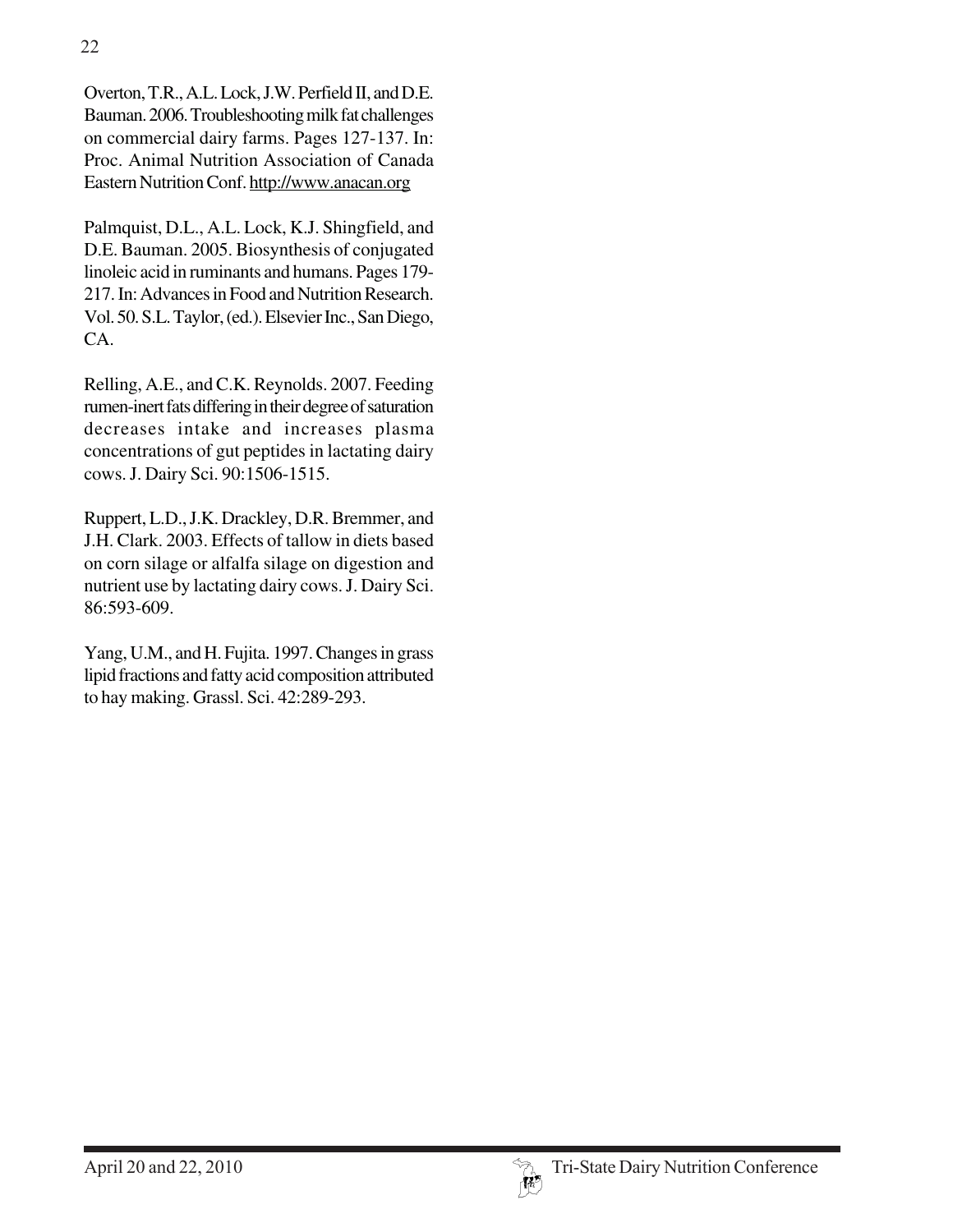Overton, T.R., A.L. Lock, J.W. Perfield II, and D.E. Bauman. 2006. Troubleshooting milk fat challenges on commercial dairy farms. Pages 127-137. In: Proc. Animal Nutrition Association of Canada Eastern Nutrition Conf. http://www.anacan.org

Palmquist, D.L., A.L. Lock, K.J. Shingfield, and D.E. Bauman. 2005. Biosynthesis of conjugated linoleic acid in ruminants and humans. Pages 179- 217. In:Advances in Food and Nutrition Research. Vol. 50. S.L. Taylor, (ed.). Elsevier Inc., San Diego, CA.

Relling, A.E., and C.K. Reynolds. 2007. Feeding rumen-inert fats differing in their degree of saturation decreases intake and increases plasma concentrations of gut peptides in lactating dairy cows. J. Dairy Sci. 90:1506-1515.

Ruppert, L.D., J.K. Drackley, D.R. Bremmer, and J.H. Clark. 2003. Effects of tallow in diets based on corn silage or alfalfa silage on digestion and nutrient use by lactating dairy cows. J. Dairy Sci. 86:593-609.

Yang, U.M., and H. Fujita. 1997. Changes in grass lipid fractions and fatty acid composition attributed to hay making. Grassl. Sci. 42:289-293.

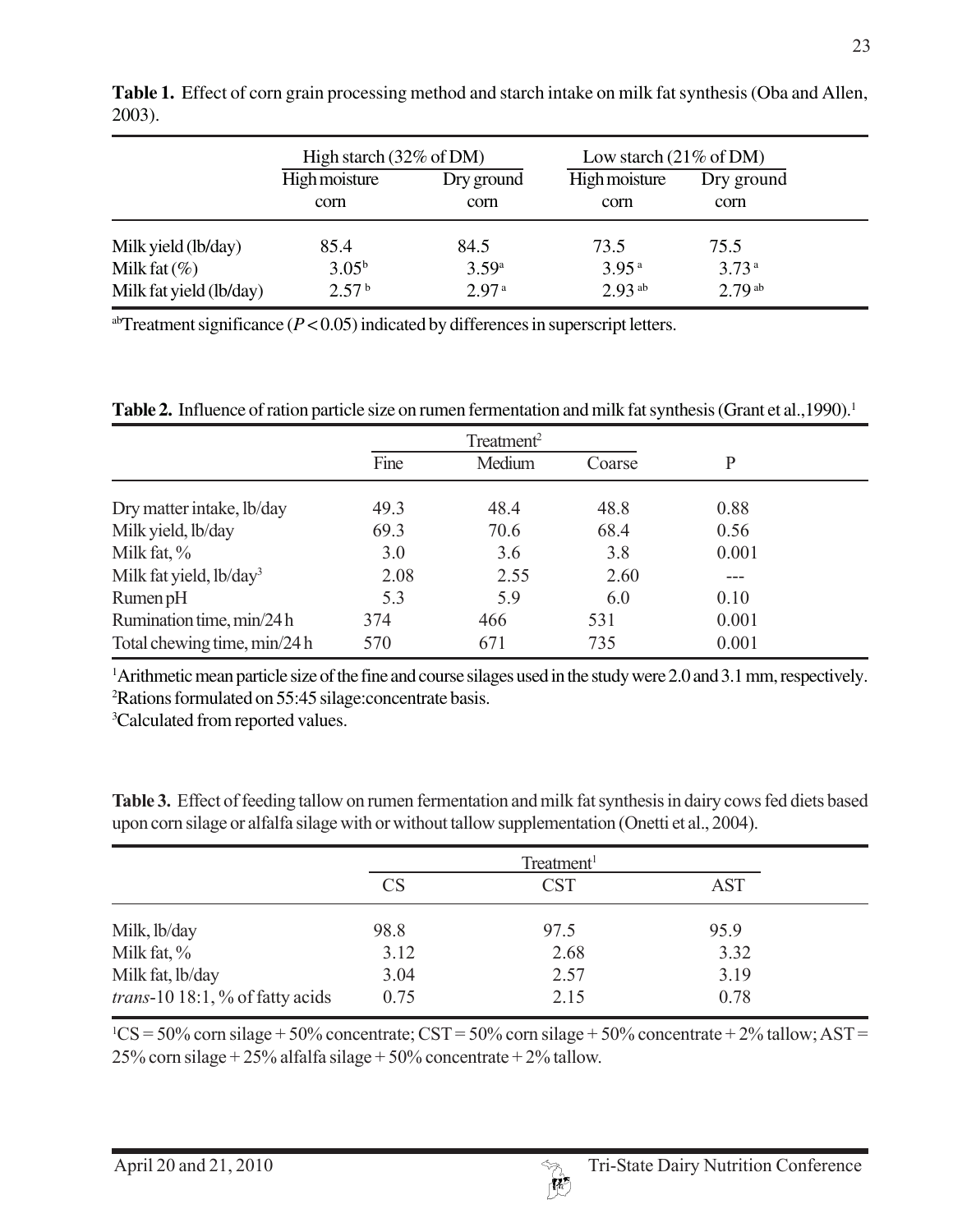|                         | High starch $(32\% \text{ of DM})$ |                   | Low starch $(21\% \text{ of DM})$ |                    |  |
|-------------------------|------------------------------------|-------------------|-----------------------------------|--------------------|--|
|                         | High moisture<br>Dry ground        |                   | High moisture                     | Dry ground         |  |
|                         | corn                               | corn              | corn                              | corn               |  |
| Milk yield (lb/day)     | 85.4                               | 84.5              | 73.5                              | 75.5               |  |
| Milk fat $(\%)$         | $3.05^{b}$                         | 3.59 <sup>a</sup> | 3.95 <sup>a</sup>                 | 3.73 <sup>a</sup>  |  |
| Milk fat yield (lb/day) | 2.57 <sup>b</sup>                  | 2.97 <sup>a</sup> | $2.93$ <sup>ab</sup>              | 2.79 <sup>ab</sup> |  |

**Table 1.** Effect of corn grain processing method and starch intake on milk fat synthesis (Oba and Allen, 2003).

 $a<sup>b</sup>$ Treatment significance ( $P < 0.05$ ) indicated by differences in superscript letters.

**Table 2.** Influence of ration particle size on rumen fermentation and milk fat synthesis (Grant et al., 1990).<sup>1</sup>

|                              | Treatment <sup>2</sup> |        |        |       |  |
|------------------------------|------------------------|--------|--------|-------|--|
|                              | Fine                   | Medium | Coarse | P     |  |
| Dry matter intake, lb/day    | 49.3                   | 48.4   | 48.8   | 0.88  |  |
| Milk yield, lb/day           | 69.3                   | 70.6   | 68.4   | 0.56  |  |
| Milk fat, $\%$               | 3.0                    | 3.6    | 3.8    | 0.001 |  |
| Milk fat yield, $lb/day3$    | 2.08                   | 2.55   | 2.60   |       |  |
| $R$ umen p $H$               | 5.3                    | 5.9    | 6.0    | 0.10  |  |
| Rumination time, min/24 h    | 374                    | 466    | 531    | 0.001 |  |
| Total chewing time, min/24 h | 570                    | 671    | 735    | 0.001 |  |

1 Arithmetic mean particle size of the fine and course silages used in the study were 2.0 and 3.1 mm, respectively. 2 Rations formulated on 55:45 silage:concentrate basis.

3 Calculated from reported values.

**Table 3.** Effect of feeding tallow on rumen fermentation and milk fat synthesis in dairy cows fed diets based upon corn silage or alfalfa silage with or without tallow supplementation (Onetti et al., 2004).

|                                            | Treatment <sup>1</sup> |            |            |  |
|--------------------------------------------|------------------------|------------|------------|--|
|                                            | CS                     | <b>CST</b> | <b>AST</b> |  |
| Milk, lb/day                               | 98.8                   | 97.5       | 95.9       |  |
| Milk fat, %                                | 3.12                   | 2.68       | 3.32       |  |
| Milk fat, lb/day                           | 3.04                   | 2.57       | 3.19       |  |
| <i>trans-</i> 10 18:1, $\%$ of fatty acids | 0.75                   | 2.15       | 0.78       |  |

 ${}^{1}CS$  = 50% corn silage + 50% concentrate; CST = 50% corn silage + 50% concentrate + 2% tallow; AST = 25% corn silage  $+ 25$ % alfalfa silage  $+ 50$ % concentrate  $+ 2$ % tallow.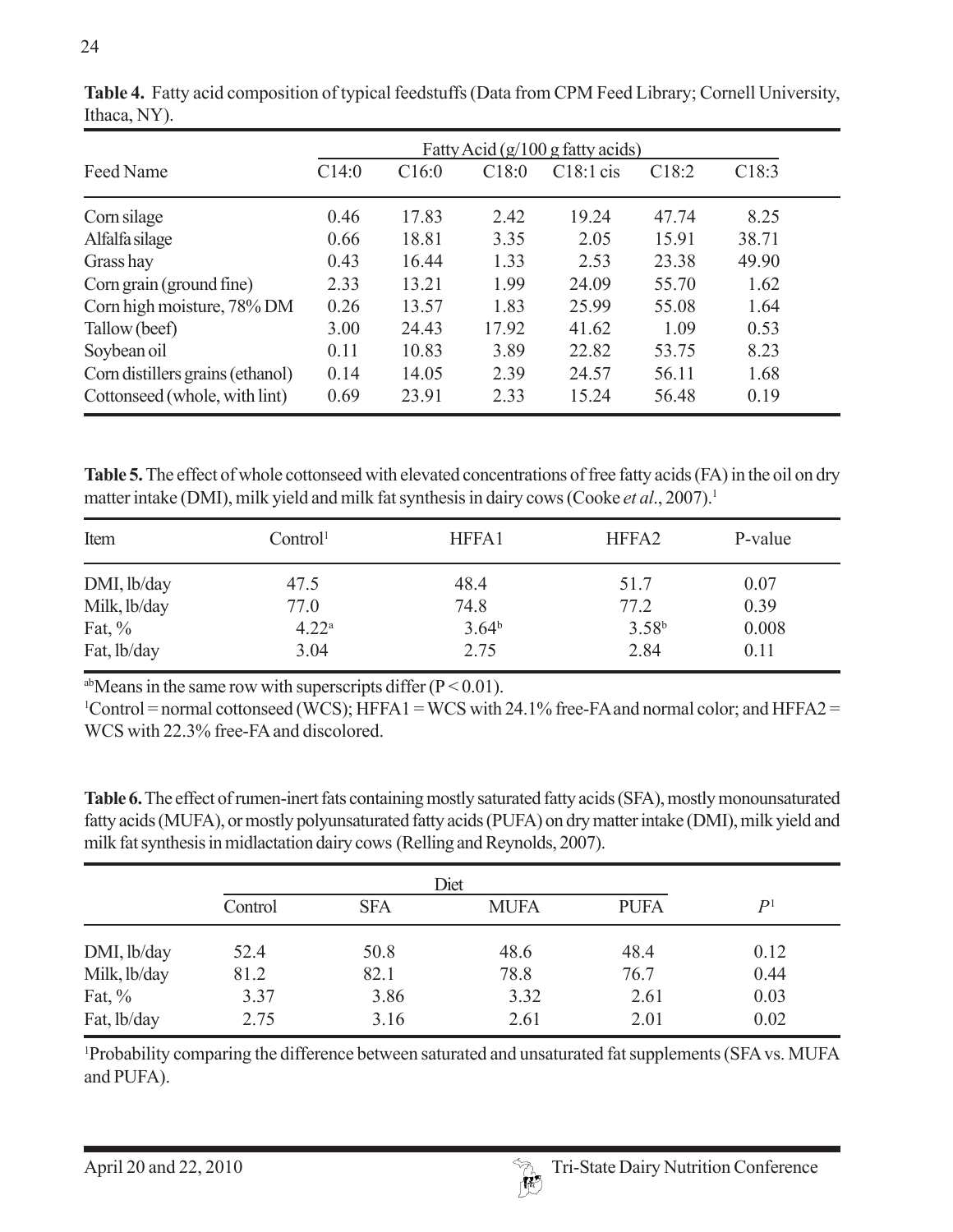|                                  | Fatty Acid $(g/100 g$ fatty acids) |       |       |             |       |       |  |
|----------------------------------|------------------------------------|-------|-------|-------------|-------|-------|--|
| Feed Name                        | C14:0                              | C16:0 | C18:0 | $C18:1$ cis | C18:2 | C18:3 |  |
| Corn silage                      | 0.46                               | 17.83 | 2.42  | 19.24       | 47.74 | 8.25  |  |
| Alfalfa silage                   | 0.66                               | 18.81 | 3.35  | 2.05        | 15.91 | 38.71 |  |
| Grass hay                        | 0.43                               | 16.44 | 1.33  | 2.53        | 23.38 | 49.90 |  |
| Corn grain (ground fine)         | 2.33                               | 13.21 | 1.99  | 24.09       | 55.70 | 1.62  |  |
| Corn high moisture, 78% DM       | 0.26                               | 13.57 | 1.83  | 25.99       | 55.08 | 1.64  |  |
| Tallow (beef)                    | 3.00                               | 24.43 | 17.92 | 41.62       | 1.09  | 0.53  |  |
| Soybean oil                      | 0.11                               | 10.83 | 3.89  | 22.82       | 53.75 | 8.23  |  |
| Corn distillers grains (ethanol) | 0.14                               | 14.05 | 2.39  | 24.57       | 56.11 | 1.68  |  |
| Cottonseed (whole, with lint)    | 0.69                               | 23.91 | 2.33  | 15.24       | 56.48 | 0.19  |  |

**Table 4.** Fatty acid composition of typical feedstuffs (Data from CPM Feed Library; Cornell University, Ithaca, NY).

**Table 5.** The effect of whole cottonseed with elevated concentrations of free fatty acids (FA) in the oil on dry matter intake (DMI), milk yield and milk fat synthesis in dairy cows (Cooke *et al.*, 2007).<sup>1</sup>

| Item         | Control <sup>1</sup> | <b>HFFA1</b>      | HFFA <sub>2</sub> | P-value |  |
|--------------|----------------------|-------------------|-------------------|---------|--|
| DMI, lb/day  | 47.5                 | 48.4              | 51.7              | 0.07    |  |
| Milk, lb/day | 77.0                 | 74.8              | 77.2              | 0.39    |  |
| Fat, $\%$    | 4.22 <sup>a</sup>    | 3.64 <sup>b</sup> | 3.58 <sup>b</sup> | 0.008   |  |
| Fat, lb/day  | 3.04                 | 2.75              | 2.84              | 0.11    |  |

<sup>ab</sup>Means in the same row with superscripts differ ( $P < 0.01$ ).

<sup>1</sup>Control = normal cottonseed (WCS); HFFA1 = WCS with 24.1% free-FA and normal color; and HFFA2 = WCS with 22.3% free-FA and discolored.

**Table 6.** The effect of rumen-inert fats containing mostly saturated fatty acids (SFA), mostly monounsaturated fatty acids (MUFA), or mostly polyunsaturated fatty acids (PUFA) on dry matter intake (DMI), milk yield and milk fat synthesis in midlactation dairy cows (Relling and Reynolds, 2007).

|              | Control | <b>SFA</b> | <b>MUFA</b> | <b>PUFA</b> | P <sup>1</sup> |
|--------------|---------|------------|-------------|-------------|----------------|
| DMI, lb/day  | 52.4    | 50.8       | 48.6        | 48.4        | 0.12           |
| Milk, lb/day | 81.2    | 82.1       | 78.8        | 76.7        | 0.44           |
| Fat, $\%$    | 3.37    | 3.86       | 3.32        | 2.61        | 0.03           |
| Fat, lb/day  | 2.75    | 3.16       | 2.61        | 2.01        | 0.02           |

1 Probability comparing the difference between saturated and unsaturated fat supplements (SFA vs. MUFA and PUFA).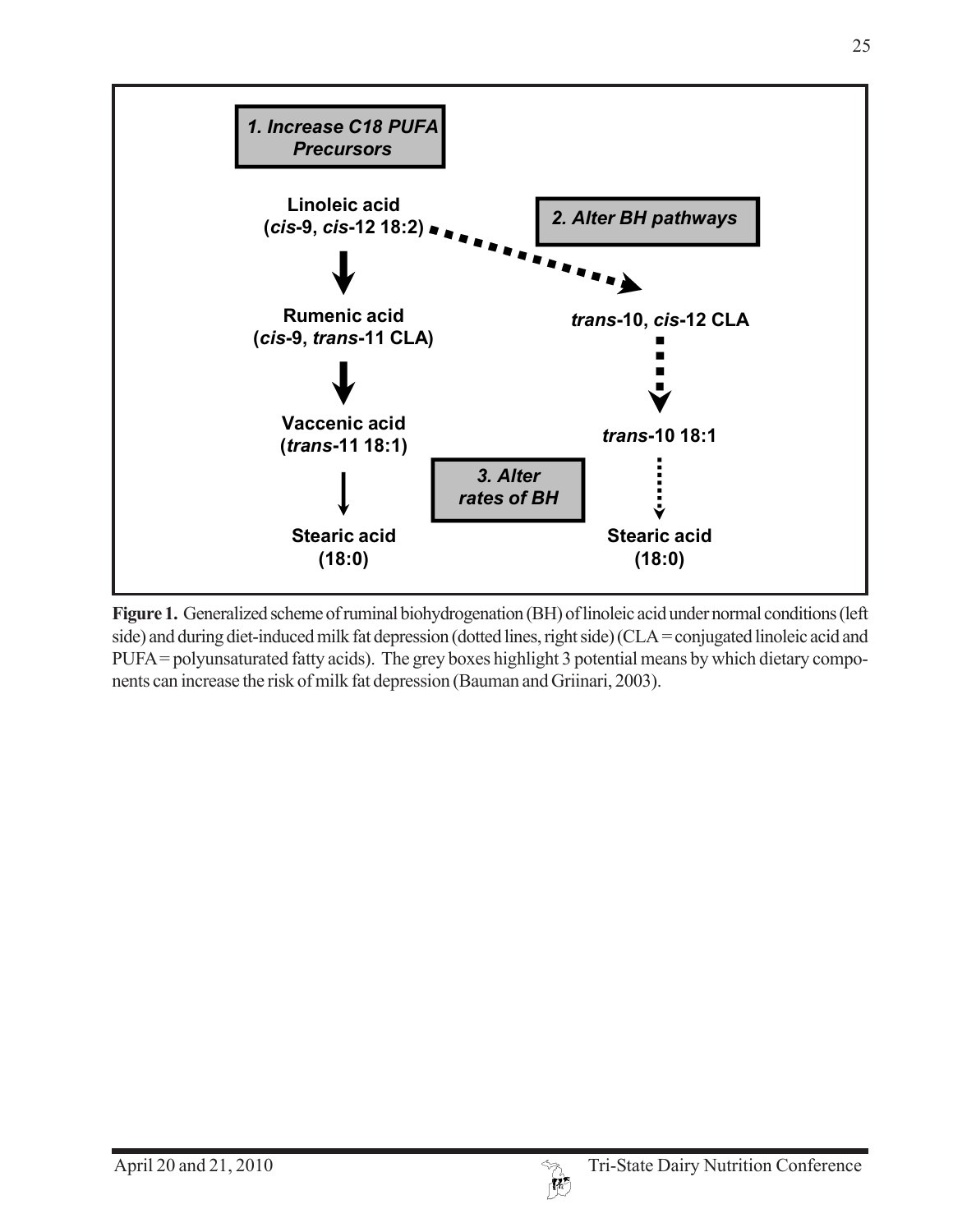

**Figure 1.** Generalized scheme of ruminal biohydrogenation (BH) of linoleic acid under normal conditions (left side) and during diet-induced milk fat depression (dotted lines, right side) (CLA = conjugated linoleic acid and PUFA = polyunsaturated fatty acids). The grey boxes highlight 3 potential means by which dietary components can increase the risk of milk fat depression (Bauman and Griinari, 2003).